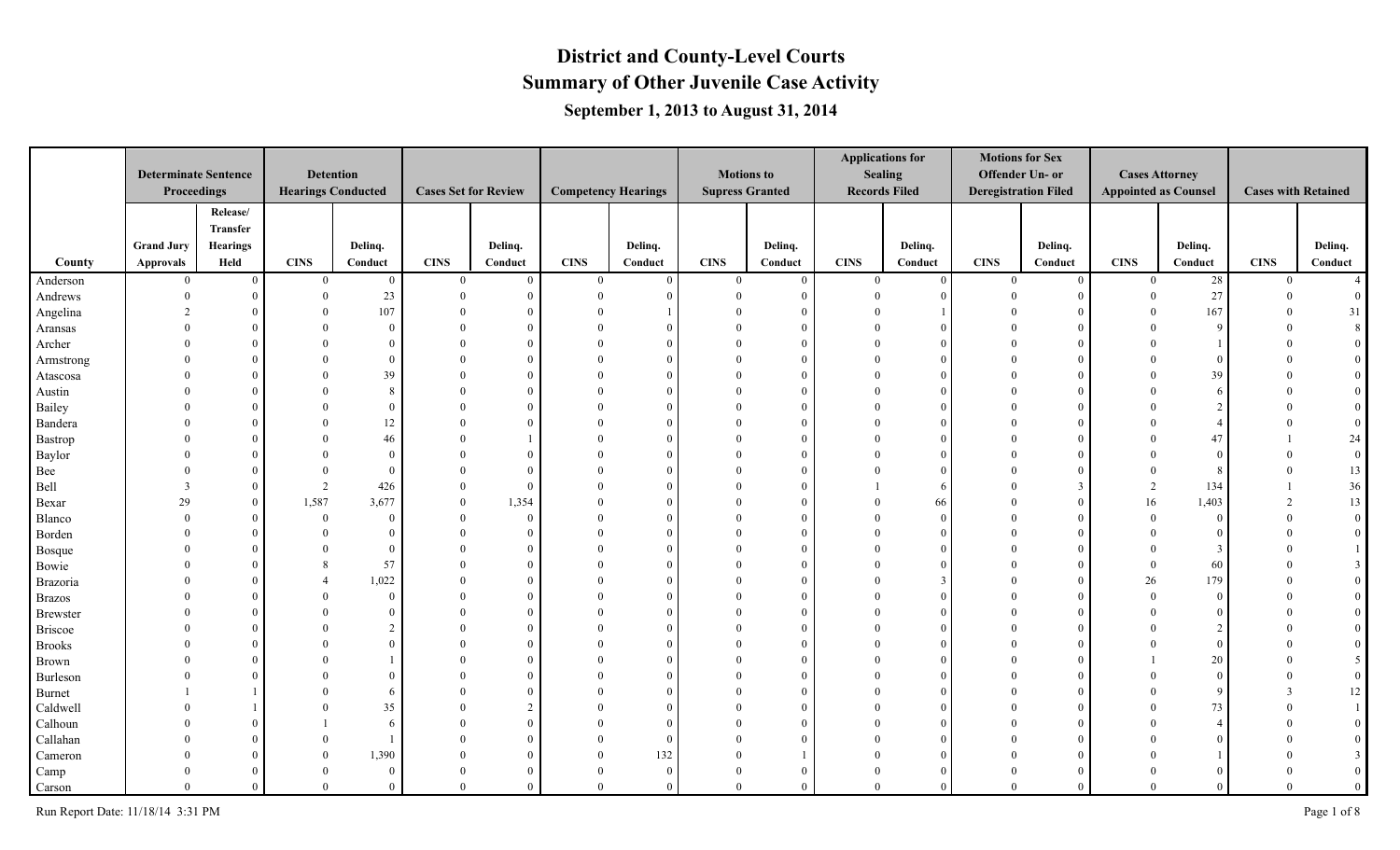#### **Summary of Other Juvenile Case Activity District and County-Level Courts September 1, 2013 to August 31, 2014**

|                 | <b>Determinate Sentence</b><br>Proceedings |                                  |              | <b>Detention</b><br><b>Hearings Conducted</b> | <b>Cases Set for Review</b> |                | <b>Competency Hearings</b> |          | <b>Motions to</b><br><b>Supress Granted</b> |                | <b>Sealing</b><br><b>Records Filed</b> | <b>Applications for</b> | <b>Motions for Sex</b><br>Offender Un- or<br><b>Deregistration Filed</b> |                | <b>Cases Attorney</b><br><b>Appointed as Counsel</b> |              | <b>Cases with Retained</b> |                  |
|-----------------|--------------------------------------------|----------------------------------|--------------|-----------------------------------------------|-----------------------------|----------------|----------------------------|----------|---------------------------------------------|----------------|----------------------------------------|-------------------------|--------------------------------------------------------------------------|----------------|------------------------------------------------------|--------------|----------------------------|------------------|
|                 | <b>Grand Jury</b>                          | Release/<br>Transfer<br>Hearings |              | Delinq.                                       |                             | Delinq.        |                            | Delinq.  |                                             | Delinq.        |                                        | Delinq.                 |                                                                          | Delinq.        |                                                      | Delinq.      |                            | Delinq.          |
| County          | Approvals                                  | Held                             | <b>CINS</b>  | Conduct                                       | <b>CINS</b>                 | Conduct        | <b>CINS</b>                | Conduct  | <b>CINS</b>                                 | Conduct        | <b>CINS</b>                            | Conduct                 | <b>CINS</b>                                                              | Conduct        | <b>CINS</b>                                          | Conduct      | <b>CINS</b>                | Conduct          |
| Anderson        | $\mathbf{0}$                               | $\overline{0}$                   | $\mathbf{0}$ | $\bf{0}$                                      | $\overline{0}$              | $\overline{0}$ | $\theta$                   | $\Omega$ | $\overline{0}$                              | $\overline{0}$ | $\overline{0}$                         | $\theta$                | $\overline{0}$                                                           | $\bf{0}$       | $\overline{0}$                                       | 28           | $\mathbf{0}$               | $\overline{4}$   |
| Andrews         | $\theta$                                   |                                  | $\theta$     | 23                                            | $\Omega$                    | $\overline{0}$ | $\Omega$                   |          | $\Omega$                                    | $\Omega$       | $\Omega$                               |                         |                                                                          | $\Omega$       | $\Omega$                                             | 27           |                            |                  |
| Angelina        | $\mathfrak{D}$                             |                                  |              | 107                                           |                             | $\overline{0}$ |                            |          |                                             |                |                                        |                         |                                                                          | $\Omega$       | $\Omega$                                             | 167          |                            | 31               |
| Aransas         |                                            |                                  |              | $\bf{0}$                                      |                             | $\overline{0}$ | $\Omega$                   | $\Omega$ | $\Omega$                                    | $\Omega$       |                                        |                         |                                                                          | $\Omega$       |                                                      | <sup>Q</sup> |                            |                  |
| Archer          |                                            |                                  |              | $\overline{0}$                                |                             | $\overline{0}$ | $\Omega$                   | $\Omega$ | $\Omega$                                    | $\Omega$       |                                        |                         |                                                                          | $\Omega$       |                                                      |              |                            |                  |
| Armstrong       |                                            |                                  |              | $\theta$                                      | $\Omega$                    | $\overline{0}$ | $\Omega$                   | $\Omega$ |                                             | $\Omega$       |                                        |                         |                                                                          | $\Omega$       |                                                      |              |                            |                  |
| Atascosa        |                                            |                                  |              | 39                                            | $\Omega$                    | $\overline{0}$ | $\Omega$                   | $\Omega$ | $\Omega$                                    | $\Omega$       |                                        |                         |                                                                          | $\Omega$       | $\Omega$                                             | 39           |                            |                  |
| Austin          |                                            |                                  |              | $8\,$                                         | $\Omega$                    | $\mathbf{0}$   | $\theta$                   | $\Omega$ | $\Omega$                                    | $\Omega$       |                                        |                         |                                                                          | $\Omega$       | $\Omega$                                             | f            |                            |                  |
| Bailey          |                                            |                                  |              | $\overline{0}$                                |                             | $\overline{0}$ | $\Omega$                   | $\Omega$ | $\theta$                                    | $\Omega$       |                                        |                         |                                                                          | $\Omega$       |                                                      |              |                            |                  |
| Bandera         |                                            |                                  |              | $12\,$                                        |                             | $\overline{0}$ | $\Omega$                   | $\Omega$ | $\Omega$                                    | $\Omega$       |                                        |                         |                                                                          | $\Omega$       |                                                      |              |                            |                  |
| Bastrop         |                                            |                                  |              | 46                                            |                             |                |                            | -6       | $\Omega$                                    | $\Omega$       |                                        |                         |                                                                          | $\Omega$       | $\Omega$                                             | 47           |                            | 24               |
| Baylor          |                                            |                                  |              | $\bf{0}$                                      |                             | $\theta$       | $\Omega$                   | $\Omega$ | $\Omega$                                    | $\Omega$       |                                        |                         |                                                                          | O              | $\Omega$                                             |              |                            | $\boldsymbol{0}$ |
| Bee             |                                            |                                  | $\Omega$     | $\theta$                                      | $\Omega$                    | $\overline{0}$ | $\Omega$                   | $\Omega$ | $\Omega$                                    |                |                                        |                         |                                                                          |                | $\Omega$                                             | ş.           |                            | 13               |
| Bell            | 3                                          |                                  | 2            | 426                                           | $\theta$                    | $\overline{0}$ | $\Omega$                   |          | $\Omega$                                    | $\Omega$       |                                        |                         |                                                                          | $\mathcal{F}$  | 2                                                    | 134          |                            | 36               |
| Bexar           | 29                                         | $\Omega$                         | 1,587        | 3,677                                         | $\theta$                    | 1,354          | $\Omega$                   | $\Omega$ | $\Omega$                                    | $\Omega$       |                                        | 66                      |                                                                          | $\Omega$       | 16                                                   | 1,403        |                            | 13               |
| Blanco          |                                            |                                  | $\theta$     | $\bf{0}$                                      | $\Omega$                    | $\overline{0}$ | $\Omega$                   | $\Omega$ | $\theta$                                    | $\Omega$       |                                        |                         |                                                                          | $\Omega$       | $\Omega$                                             | $\Omega$     |                            |                  |
| Borden          |                                            |                                  |              | $\theta$                                      | $\Omega$                    | $\mathbf{0}$   | $\Omega$                   | $\Omega$ | $\Omega$                                    | $\Omega$       |                                        |                         |                                                                          | $\Omega$       | $\Omega$                                             |              |                            | $\Omega$         |
| Bosque          |                                            |                                  |              | $\overline{0}$                                | $\Omega$                    | $\mathbf{0}$   | $\Omega$                   | $\Omega$ | $\Omega$                                    | $\Omega$       |                                        |                         |                                                                          | $\Omega$       | $\Omega$                                             | 3            |                            |                  |
| Bowie           |                                            |                                  |              | 57                                            | $\Omega$                    | $\mathbf{0}$   | $\theta$                   | $\Omega$ | $\Omega$                                    | $\Omega$       |                                        |                         |                                                                          | $\Omega$       | $\Omega$                                             | 60           |                            |                  |
| Brazoria        |                                            |                                  |              | 1,022                                         |                             | $\overline{0}$ | $\Omega$                   | $\Omega$ | $\theta$                                    | $\Omega$       |                                        | -3                      |                                                                          | $\theta$       | 26                                                   | 179          |                            |                  |
| <b>Brazos</b>   |                                            |                                  |              | $\bf{0}$                                      |                             | $\overline{0}$ |                            | $\Omega$ | $\Omega$                                    | $\Omega$       |                                        |                         |                                                                          | $\Omega$       | $\Omega$                                             | $\Omega$     |                            |                  |
| <b>Brewster</b> |                                            |                                  |              | $\overline{0}$                                |                             | $\overline{0}$ | $\theta$                   | $\Omega$ | $\Omega$                                    | $\Omega$       |                                        |                         |                                                                          | $\Omega$       | $\Omega$                                             |              |                            |                  |
| <b>Briscoe</b>  |                                            |                                  |              | 2                                             | $\Omega$                    | $\theta$       | $\Omega$                   | $\Omega$ | $\Omega$                                    | $\Omega$       |                                        |                         |                                                                          | $\Omega$       |                                                      |              |                            |                  |
| <b>Brooks</b>   |                                            |                                  |              | $\Omega$                                      | $\Omega$                    | $\theta$       | $\Omega$                   | $\Omega$ | $\Omega$                                    | $\Omega$       |                                        |                         |                                                                          | $\Omega$       | $\Omega$                                             | $\Omega$     |                            |                  |
| Brown           |                                            |                                  |              |                                               |                             | $\theta$       | $\Omega$                   |          | $\Omega$                                    | $\Omega$       |                                        |                         |                                                                          | $\Omega$       |                                                      | 20           |                            |                  |
| Burleson        |                                            |                                  |              | $\theta$                                      |                             | $\overline{0}$ | $\Omega$                   | $\Omega$ | $\Omega$                                    | $\Omega$       |                                        |                         |                                                                          | $\Omega$       |                                                      | $\sqrt{ }$   |                            |                  |
| Burnet          |                                            |                                  |              | 6                                             |                             | $\overline{0}$ | $\Omega$                   | $\Omega$ | $\Omega$                                    | $\Omega$       |                                        |                         |                                                                          | $\Omega$       |                                                      | -Q           |                            | 12               |
| Caldwell        |                                            |                                  |              | 35                                            |                             | $\overline{2}$ |                            |          |                                             | $\Omega$       |                                        |                         |                                                                          | O              |                                                      | 73           |                            |                  |
| Calhoun         |                                            |                                  |              | 6                                             |                             | $\overline{0}$ | $\Omega$                   | $\Omega$ | $\Omega$                                    |                |                                        |                         |                                                                          | $\Omega$       |                                                      |              |                            |                  |
| Callahan        |                                            |                                  |              |                                               |                             | $\theta$       | $\theta$                   | - 0      | $\Omega$                                    | $\Omega$       |                                        |                         |                                                                          |                |                                                      |              |                            |                  |
| Cameron         |                                            |                                  |              | 1,390                                         |                             | $\theta$       | $\Omega$                   | 132      | $\Omega$                                    |                |                                        |                         |                                                                          | $\Omega$       |                                                      |              |                            |                  |
| Camp            |                                            |                                  |              | $\overline{0}$                                |                             | $\overline{0}$ | $\Omega$                   | $\theta$ | $\theta$                                    | $\theta$       |                                        |                         |                                                                          | $\Omega$       |                                                      |              |                            |                  |
| Carson          | $\Omega$                                   | $\Omega$                         | $\theta$     | $\bf{0}$                                      | $\theta$                    | $\mathbf{0}$   | $\Omega$                   | $\Omega$ | $\theta$                                    | $\theta$       | $\theta$                               | $\theta$                | $\Omega$                                                                 | $\overline{0}$ | $\Omega$                                             | $\Omega$     |                            | $\theta$         |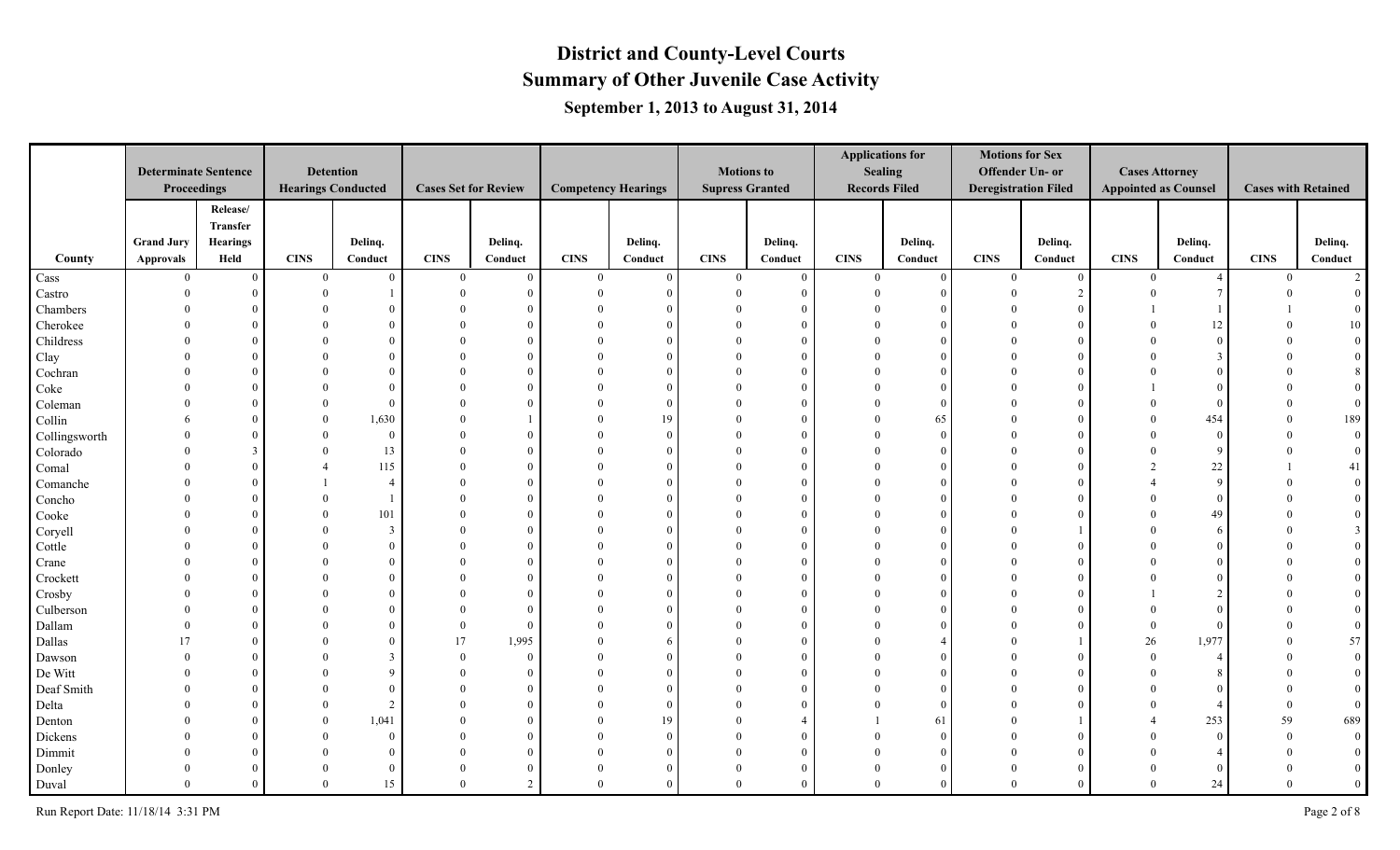|               |                             |                 |              |                           |                |                             |                            |          |                        |          |             | <b>Applications for</b> | <b>Motions for Sex</b>      |          |                             |                        |                            |                |
|---------------|-----------------------------|-----------------|--------------|---------------------------|----------------|-----------------------------|----------------------------|----------|------------------------|----------|-------------|-------------------------|-----------------------------|----------|-----------------------------|------------------------|----------------------------|----------------|
|               | <b>Determinate Sentence</b> |                 |              | <b>Detention</b>          |                |                             |                            |          | <b>Motions to</b>      |          |             | <b>Sealing</b>          | Offender Un- or             |          | <b>Cases Attorney</b>       |                        |                            |                |
|               | Proceedings                 |                 |              | <b>Hearings Conducted</b> |                | <b>Cases Set for Review</b> | <b>Competency Hearings</b> |          | <b>Supress Granted</b> |          |             | <b>Records Filed</b>    | <b>Deregistration Filed</b> |          | <b>Appointed as Counsel</b> |                        | <b>Cases with Retained</b> |                |
|               |                             | Release/        |              |                           |                |                             |                            |          |                        |          |             |                         |                             |          |                             |                        |                            |                |
|               |                             | Transfer        |              |                           |                |                             |                            |          |                        |          |             |                         |                             |          |                             |                        |                            |                |
|               | <b>Grand Jury</b>           | <b>Hearings</b> |              | Delinq.                   |                | Delinq.                     |                            | Delinq.  |                        | Delinq.  |             | Delinq.                 |                             | Delinq.  |                             | Delinq.                |                            | Delinq.        |
| County        | Approvals                   | Held            | <b>CINS</b>  | Conduct                   | <b>CINS</b>    | Conduct                     | <b>CINS</b>                | Conduct  | <b>CINS</b>            | Conduct  | <b>CINS</b> | $\bf Conduct$           | <b>CINS</b>                 | Conduct  | <b>CINS</b>                 | Conduct                | <b>CINS</b>                | Conduct        |
| Cass          | $\overline{0}$              | $\overline{0}$  | $\mathbf{0}$ | $\overline{0}$            | $\mathbf{0}$   | $\theta$                    | $\bf{0}$                   | $\theta$ | $\overline{0}$         | $\theta$ | $\theta$    | $\theta$                | $\theta$                    | $\Omega$ | $\Omega$                    | $\boldsymbol{\Lambda}$ | $\mathbf{0}$               | 2              |
| Castro        | $\Omega$                    | $\Omega$        |              |                           | $\Omega$       | $\Omega$                    | $\Omega$                   |          | $\Omega$               | $\Omega$ |             | $\Omega$                |                             | $\gamma$ |                             | $\mathcal{I}$          |                            |                |
| Chambers      |                             | $\Omega$        |              |                           |                | $\theta$                    |                            |          |                        |          |             | $\Omega$                |                             |          |                             |                        |                            |                |
| Cherokee      |                             | $\Omega$        |              |                           |                | $\theta$                    |                            |          |                        |          |             | $\Omega$                |                             |          |                             | 12                     |                            | 10             |
| Childress     |                             | $\Omega$        |              |                           |                | $\Omega$                    |                            |          |                        |          |             | $\Omega$                |                             |          |                             | $\Omega$               |                            |                |
| Clay          |                             | $\Omega$        |              |                           |                | $\theta$                    | $\Omega$                   | $\Omega$ | $\Omega$               |          |             | $\Omega$                |                             |          |                             |                        |                            |                |
| Cochran       |                             | $\Omega$        |              | $\Omega$                  |                | $\Omega$                    | $\theta$                   | $\Omega$ | $\Omega$               |          |             | $\Omega$                |                             |          |                             | $\Omega$               |                            |                |
| Coke          |                             | $\Omega$        |              | $\Omega$                  |                | $\Omega$                    | $\Omega$                   | $\Omega$ | $\Omega$               |          |             | $\Omega$                |                             |          |                             | $\Omega$               |                            |                |
| Coleman       |                             | $\theta$        |              | $\overline{0}$            |                | $\theta$                    |                            | $\Omega$ | $\Omega$               |          |             | $\Omega$                |                             |          |                             | $\Omega$               |                            |                |
| Collin        |                             | $\Omega$        |              | 1,630                     |                |                             | $\Omega$                   | 19       | $\Omega$               |          |             | 65                      |                             |          |                             | 454                    |                            | 189            |
| Collingsworth |                             | $\overline{0}$  |              | $\overline{0}$            | $\Omega$       | $\Omega$                    | $\Omega$                   | $\Omega$ | $\Omega$               |          |             | $\Omega$                |                             |          |                             | $\mathbf{0}$           |                            | $\mathbf{0}$   |
| Colorado      |                             | 3               |              | 13                        |                | $\theta$                    | $\Omega$                   | $\Omega$ | $\Omega$               |          |             |                         |                             |          |                             | 9                      |                            | $\overline{0}$ |
| Comal         |                             | $\theta$        |              | 115                       |                | $\theta$                    | 0                          |          | $\Omega$               |          |             | $\Omega$                |                             |          |                             | $22\,$                 |                            | 41             |
| Comanche      |                             | $\Omega$        |              | $\overline{4}$            |                | $\overline{0}$              |                            | $\Omega$ | $\Omega$               |          |             | $\Omega$                |                             |          |                             | 9                      |                            |                |
| Concho        |                             | $\Omega$        |              |                           |                | $\theta$                    |                            | $\Omega$ | $\Omega$               |          |             | $\Omega$                |                             |          |                             | $\theta$               |                            |                |
| Cooke         |                             | $\Omega$        |              | 101                       |                | $\theta$                    |                            | $\Omega$ |                        |          |             | $\Omega$                |                             |          |                             | 49                     |                            |                |
| Coryell       |                             | $\Omega$        |              | $\overline{3}$            | $\Omega$       | $\mathbf{0}$                | $\Omega$                   | $\Omega$ | $\Omega$               |          |             | $\Omega$                |                             |          |                             | -6                     |                            |                |
| Cottle        |                             | $\theta$        |              | $\Omega$                  | $\Omega$       | $\theta$                    | $\theta$                   | $\Omega$ | $\theta$               |          |             | $\Omega$                |                             |          |                             | $\Omega$               |                            |                |
| Crane         |                             | $\Omega$        |              | $\theta$                  |                | $\theta$                    | $\theta$                   | $\Omega$ | $\theta$               | $\theta$ |             | $\Omega$                |                             |          |                             | $\Omega$               |                            |                |
| Crockett      |                             | $\Omega$        |              | $\Omega$                  |                | $\theta$                    |                            | $\Omega$ | $\Omega$               |          |             | $\Omega$                |                             |          |                             | $\Omega$               |                            |                |
| Crosby        |                             | $\theta$        |              |                           |                | $\theta$                    |                            |          | $\Omega$               |          |             | $\Omega$                |                             |          |                             | $\gamma$               |                            |                |
| Culberson     |                             | $\Omega$        |              |                           | $\Omega$       | $\Omega$                    |                            | $\Omega$ | $\Omega$               |          |             | $\Omega$                |                             |          |                             | - 0                    |                            |                |
| Dallam        |                             | $\Omega$        |              | $\Omega$                  | $\mathbf{0}$   | $\mathbf{0}$                | $\Omega$                   |          | $\Omega$               |          |             |                         |                             |          | $\Omega$                    | $\theta$               |                            |                |
| Dallas        | 17                          | $\theta$        |              | $\Omega$                  | 17             | 1,995                       | $\theta$                   |          | $\Omega$               |          |             |                         |                             |          | 26                          | 1,977                  |                            | 57             |
| Dawson        |                             | $\Omega$        |              | 3                         | $\Omega$       | $\theta$                    | $\Omega$                   | $\Omega$ | $\Omega$               |          |             | $\Omega$                |                             |          |                             |                        |                            |                |
| De Witt       |                             | $\Omega$        |              | $\Omega$                  | $\Omega$       | $\mathbf{0}$                |                            |          |                        |          |             | $\Omega$                |                             |          |                             |                        |                            |                |
| Deaf Smith    |                             | $\Omega$        |              |                           |                | $\theta$                    |                            | $\Omega$ |                        |          |             | $\Omega$                |                             |          |                             | $\Omega$               |                            |                |
| Delta         |                             | $\Omega$        |              | 2                         |                | $\theta$                    | $\Omega$                   | $\Omega$ | $\Omega$               |          |             | $\Omega$                |                             |          |                             |                        |                            | $\theta$       |
| Denton        |                             | $\Omega$        | $\Omega$     | 1,041                     | $\Omega$       | $\theta$                    | $\theta$                   | 19       | $\Omega$               |          |             | 61                      |                             |          |                             | 253                    | 59                         | 689            |
| Dickens       |                             | $\theta$        |              | $\overline{0}$            | $\Omega$       | $\overline{0}$              | $\theta$                   | $\theta$ | $\Omega$               | $\theta$ |             | $\theta$                |                             |          |                             | $\mathbf{0}$           |                            | $\overline{0}$ |
| Dimmit        |                             | $\Omega$        |              | $\Omega$                  |                | $\theta$                    | $\Omega$                   | $\Omega$ | $\Omega$               |          |             | $\Omega$                |                             |          |                             |                        |                            |                |
| Donley        |                             | $\theta$        |              | $\overline{0}$            | $\Omega$       | $\Omega$                    | $\theta$                   | $\Omega$ | $\theta$               | $\Omega$ |             | $\Omega$                |                             |          |                             | - 0                    |                            | $\theta$       |
| Duval         | $\Omega$                    | $\theta$        | $\Omega$     | 15                        | $\overline{0}$ | 2                           | $\theta$                   | $\Omega$ | $\theta$               | $\Omega$ |             | $\mathbf{0}$            | $\theta$                    |          | $\Omega$                    | 24                     |                            | $\mathbf{0}$   |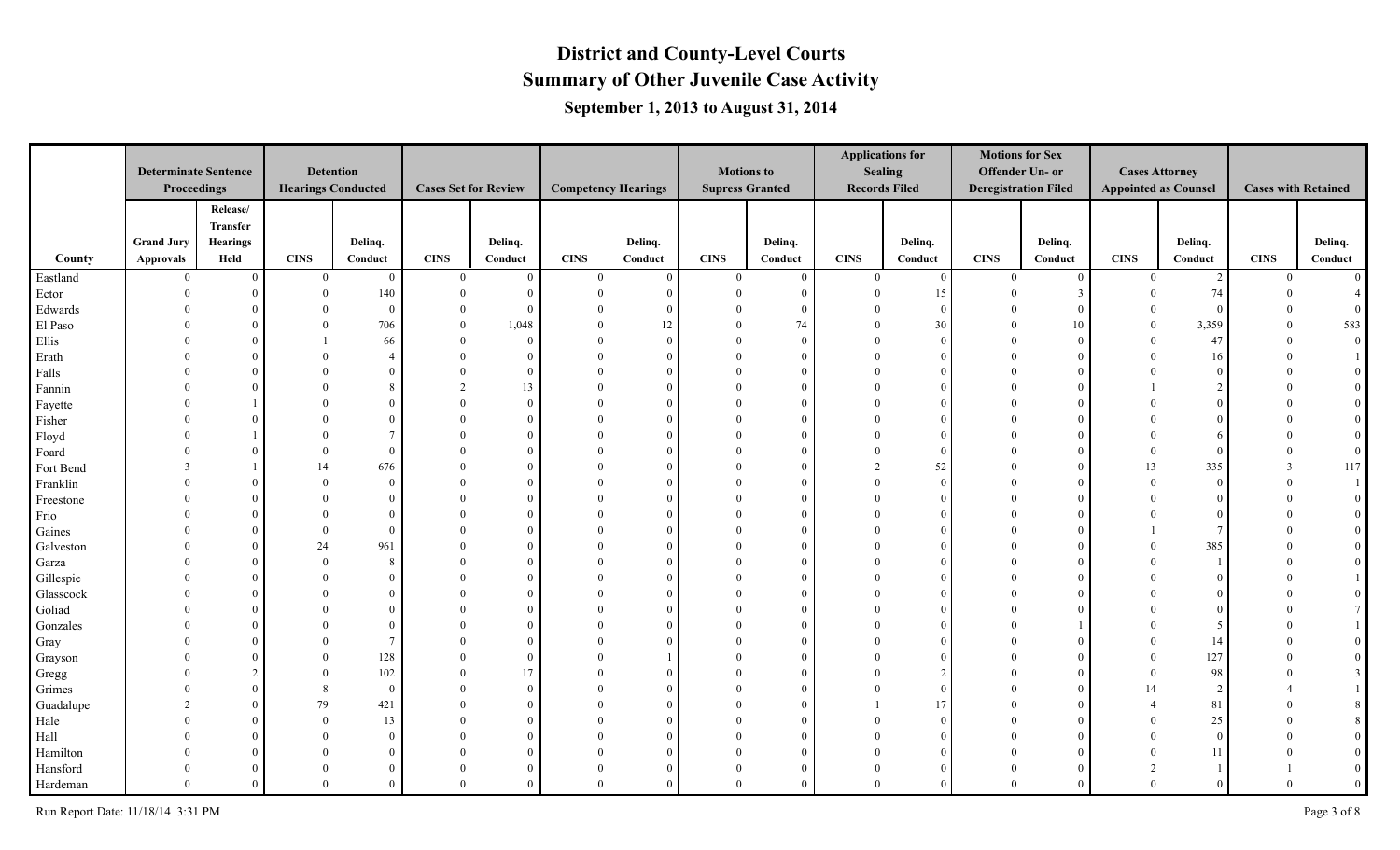|           |                             |                 |              |                           |                |                             |                            |            |                        |              |              | <b>Applications for</b> | <b>Motions for Sex</b>      |               |                             |                |                            |                  |
|-----------|-----------------------------|-----------------|--------------|---------------------------|----------------|-----------------------------|----------------------------|------------|------------------------|--------------|--------------|-------------------------|-----------------------------|---------------|-----------------------------|----------------|----------------------------|------------------|
|           | <b>Determinate Sentence</b> |                 |              | <b>Detention</b>          |                |                             |                            |            | <b>Motions to</b>      |              |              | <b>Sealing</b>          | Offender Un- or             |               | <b>Cases Attorney</b>       |                |                            |                  |
|           | Proceedings                 |                 |              | <b>Hearings Conducted</b> |                | <b>Cases Set for Review</b> | <b>Competency Hearings</b> |            | <b>Supress Granted</b> |              |              | <b>Records Filed</b>    | <b>Deregistration Filed</b> |               | <b>Appointed as Counsel</b> |                | <b>Cases with Retained</b> |                  |
|           |                             | Release/        |              |                           |                |                             |                            |            |                        |              |              |                         |                             |               |                             |                |                            |                  |
|           |                             | Transfer        |              |                           |                |                             |                            |            |                        |              |              |                         |                             |               |                             |                |                            |                  |
|           | <b>Grand Jury</b>           | <b>Hearings</b> |              | Delinq.                   |                | Delinq.                     |                            | Delinq.    |                        | Delinq.      |              | Delinq.                 |                             | Delinq.       |                             | Delinq.        |                            | Delinq.          |
| County    | Approvals                   | Held            | <b>CINS</b>  | Conduct                   | <b>CINS</b>    | Conduct                     | <b>CINS</b>                | Conduct    | <b>CINS</b>            | Conduct      | <b>CINS</b>  | Conduct                 | <b>CINS</b>                 | Conduct       | <b>CINS</b>                 | Conduct        | <b>CINS</b>                | Conduct          |
| Eastland  | $\bf{0}$                    | $\overline{0}$  | $\mathbf{0}$ | $\overline{0}$            | $\overline{0}$ | $\Omega$                    | $\theta$                   | $\Omega$   | $\overline{0}$         | $\mathbf{0}$ | $\mathbf{0}$ | $\overline{0}$          | $\theta$                    | $\Omega$      | $\bf{0}$                    | 2              | $\mathbf{0}$               | $\overline{0}$   |
| Ector     | $\Omega$                    | $\theta$        |              | 140                       | $\overline{0}$ | $\Omega$                    | $\Omega$                   | $\epsilon$ | $\Omega$               | $\Omega$     |              | 15                      |                             | $\mathcal{R}$ | $\theta$                    | 74             | $\Omega$                   |                  |
| Edwards   |                             | $\Omega$        |              | $\overline{0}$            | $\theta$       | $\Omega$                    |                            | $\Omega$   |                        |              |              | $\overline{0}$          |                             |               | $\Omega$                    | $\theta$       |                            |                  |
| El Paso   |                             | $\Omega$        |              | 706                       | $\Omega$       | 1,048                       |                            | 12         |                        | 74           |              | 30                      |                             | 10            | $\theta$                    | 3,359          |                            | 583              |
| Ellis     |                             | $\Omega$        |              | 66                        | $\Omega$       | $\Omega$                    |                            | $\Omega$   |                        | $\Omega$     |              | $\Omega$                |                             |               | $\Omega$                    | 47             |                            | $\boldsymbol{0}$ |
| Erath     |                             | $\Omega$        |              |                           | $\Omega$       | $\theta$                    | $\Omega$                   | $\theta$   | $\Omega$               |              |              | $\Omega$                |                             |               | $\Omega$                    | 16             |                            |                  |
| Falls     |                             | $\Omega$        |              | $\theta$                  | $\Omega$       | $\theta$                    | $\Omega$                   | $\Omega$   | $\Omega$               | $\Omega$     |              | $\Omega$                |                             |               | $\Omega$                    | $\theta$       |                            |                  |
| Fannin    |                             | $\Omega$        |              | $\mathbf{R}$              | $\mathfrak{D}$ | 13                          | $\theta$                   | $\Omega$   | $\Omega$               |              |              | $\Omega$                |                             |               |                             | $\overline{2}$ |                            |                  |
| Fayette   |                             |                 |              | $\Omega$                  |                | $\theta$                    |                            | $\Omega$   | $\Omega$               |              |              |                         |                             |               |                             | $\Omega$       |                            |                  |
| Fisher    |                             |                 |              |                           | $\Omega$       | $\Omega$                    |                            | $\Omega$   | $\Omega$               |              |              |                         |                             |               |                             | $\Omega$       |                            |                  |
| Floyd     |                             |                 |              |                           |                | $\Omega$                    |                            | -0         |                        |              |              | $\Omega$                |                             |               |                             | -6             |                            | $\mathbf{0}$     |
| Foard     |                             | $\Omega$        |              | $\theta$                  |                |                             | $\Omega$                   | $\Omega$   | $\Omega$               |              |              | $\Omega$                |                             |               | $\Omega$                    | $\Omega$       |                            | $\overline{0}$   |
| Fort Bend |                             |                 | 14           | 676                       | $\Omega$       |                             |                            |            | $\Omega$               |              |              | 52                      |                             |               | 13                          | 335            |                            | $117\,$          |
| Franklin  |                             | $\Omega$        |              | $\overline{0}$            |                |                             |                            | $\Omega$   |                        |              |              | $\theta$                |                             |               | $\Omega$                    | $\theta$       |                            |                  |
| Freestone |                             | $\theta$        |              | $\Omega$                  |                |                             |                            | $\Omega$   |                        |              |              | $\Omega$                |                             |               |                             | $\Omega$       |                            |                  |
| Frio      |                             | $\Omega$        |              | $\overline{0}$            |                | $\Omega$                    |                            | $\Omega$   |                        |              |              |                         |                             |               | $\Omega$                    | $\Omega$       |                            |                  |
| Gaines    |                             | $\Omega$        |              | $\theta$                  | $\Omega$       | $\theta$                    | $\Omega$                   | $\Omega$   | $\Omega$               |              |              | $\Omega$                |                             |               |                             |                |                            | $\mathbf{0}$     |
| Galveston |                             | $\Omega$        | 24           | 961                       | $\Omega$       |                             | $\Omega$                   | $\Omega$   | $\Omega$               |              |              | $\Omega$                |                             |               | $\Omega$                    | 385            |                            |                  |
| Garza     |                             | $\Omega$        |              | 8                         |                |                             |                            | $\Omega$   | $\Omega$               |              |              | $\Omega$                |                             |               | $\Omega$                    |                |                            |                  |
| Gillespie |                             | $\Omega$        |              | $\theta$                  |                |                             |                            | $\Omega$   | $\Omega$               |              |              |                         |                             |               |                             | $\theta$       |                            |                  |
| Glasscock |                             | $\Omega$        |              | $\Omega$                  | $\Omega$       |                             | $\Omega$                   | $\Omega$   | $\Omega$               |              |              | $\Omega$                |                             |               |                             | $\Omega$       |                            |                  |
| Goliad    |                             | $\Omega$        |              | $\Omega$                  |                | $\Omega$                    |                            | $\Omega$   | $\Omega$               |              |              | $\Omega$                |                             |               |                             | $\Omega$       |                            |                  |
| Gonzales  |                             | $\Omega$        |              |                           |                |                             |                            | ſ          |                        |              |              |                         |                             |               |                             | -5             |                            |                  |
| Gray      |                             | $\Omega$        |              | $\overline{7}$            | $\Omega$       |                             |                            |            | $\Omega$               |              |              |                         |                             |               | $\Omega$                    | 14             |                            |                  |
| Grayson   |                             | $\Omega$        |              | 128                       | $\Omega$       | $\Omega$                    |                            |            | $\Omega$               |              |              |                         |                             |               | $\Omega$                    | 127            |                            |                  |
| Gregg     |                             | $\overline{2}$  |              | 102                       | $\Omega$       | 17                          |                            | $\Omega$   |                        |              |              | $\overline{c}$          |                             |               | $\Omega$                    | 98             |                            |                  |
| Grimes    |                             | $\theta$        |              | $\overline{0}$            | $\Omega$       | $\Omega$                    | $\Omega$                   | $\Omega$   |                        |              |              | $\Omega$                |                             |               | 14                          | 2              |                            |                  |
| Guadalupe |                             | $\theta$        | 79           | 421                       | $\Omega$       | $\Omega$                    |                            | $\Omega$   | $\Omega$               |              |              | 17                      |                             |               |                             | 81             |                            |                  |
| Hale      |                             | $\theta$        |              | 13                        | $\Omega$       |                             | $\theta$                   | $\Omega$   | $\Omega$               |              |              | $\Omega$                |                             |               | $\Omega$                    | $25\,$         |                            |                  |
| Hall      |                             | $\Omega$        |              | $\overline{0}$            |                |                             |                            | $\Omega$   | $\Omega$               |              |              | $\Omega$                |                             |               | $\Omega$                    | $\theta$       |                            |                  |
| Hamilton  |                             | $\Omega$        |              | $\Omega$                  |                | $\Omega$                    | $\Omega$                   | $\Omega$   | $\theta$               |              |              | $\Omega$                |                             |               | $\Omega$                    | 11             |                            |                  |
| Hansford  |                             | $\overline{0}$  |              | $\Omega$                  | $\Omega$       | $\Omega$                    | $\theta$                   | $\Omega$   | $\mathbf{0}$           |              |              | $\Omega$                |                             |               | $\overline{2}$              |                |                            | $\overline{0}$   |
| Hardeman  | $\Omega$                    | $\mathbf{0}$    |              | $\theta$                  | $\Omega$       |                             | $\Omega$                   | $\Omega$   | $\theta$               |              |              | $\Omega$                | $\Omega$                    |               | $\theta$                    | $\theta$       | $\theta$                   | $\mathbf{0}$     |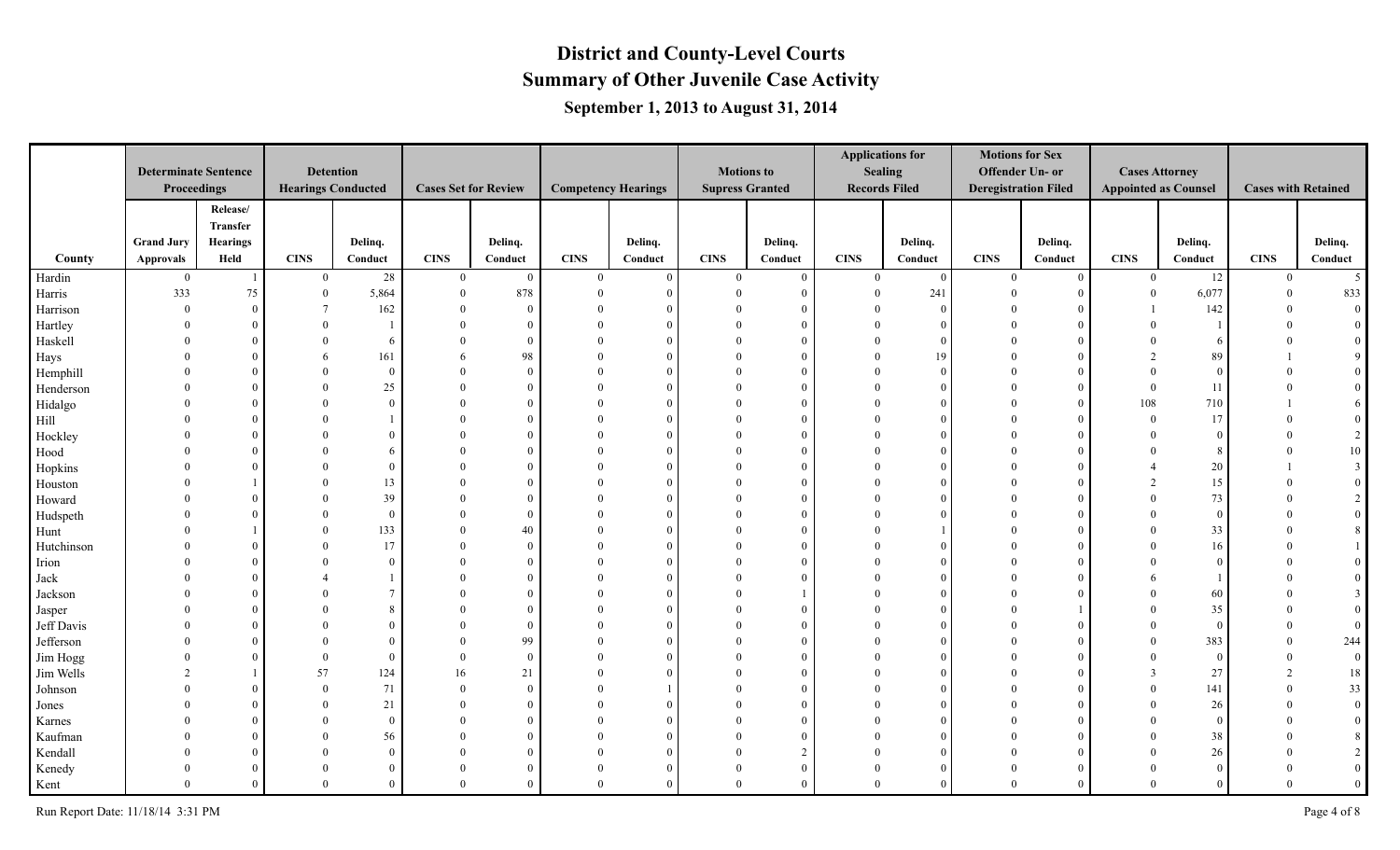|            |                             |                |                |                           |                             |                |                            |            |                        |                |              | <b>Applications for</b> | <b>Motions for Sex</b>      |          |                             |                |                            |                 |
|------------|-----------------------------|----------------|----------------|---------------------------|-----------------------------|----------------|----------------------------|------------|------------------------|----------------|--------------|-------------------------|-----------------------------|----------|-----------------------------|----------------|----------------------------|-----------------|
|            | <b>Determinate Sentence</b> |                |                | <b>Detention</b>          |                             |                |                            |            | <b>Motions to</b>      |                |              | <b>Sealing</b>          | Offender Un- or             |          | <b>Cases Attorney</b>       |                |                            |                 |
|            | Proceedings                 |                |                | <b>Hearings Conducted</b> | <b>Cases Set for Review</b> |                | <b>Competency Hearings</b> |            | <b>Supress Granted</b> |                |              | <b>Records Filed</b>    | <b>Deregistration Filed</b> |          | <b>Appointed as Counsel</b> |                | <b>Cases with Retained</b> |                 |
|            |                             | Release/       |                |                           |                             |                |                            |            |                        |                |              |                         |                             |          |                             |                |                            |                 |
|            |                             | Transfer       |                |                           |                             |                |                            |            |                        |                |              |                         |                             |          |                             |                |                            |                 |
|            | <b>Grand Jury</b>           | Hearings       |                | Delinq.                   |                             | Delinq.        |                            | Delinq.    |                        | Delinq.        |              | Delinq.                 |                             | Delinq.  |                             | Delinq.        |                            | Delinq.         |
| County     | <b>Approvals</b>            | Held           | <b>CINS</b>    | Conduct                   | <b>CINS</b>                 | Conduct        | <b>CINS</b>                | Conduct    | <b>CINS</b>            | Conduct        | <b>CINS</b>  | Conduct                 | <b>CINS</b>                 | Conduct  | <b>CINS</b>                 | Conduct        | <b>CINS</b>                | Conduct         |
| Hardin     | $\bf{0}$                    | $\mathbf{1}$   | $\overline{0}$ | $28\,$                    | $\bf{0}$                    | $\overline{0}$ | $\theta$                   | $\Omega$   | $\overline{0}$         | $\overline{0}$ | $\mathbf{0}$ | $\overline{0}$          | $\theta$                    | $\Omega$ | $\overline{0}$              | 12             | $\overline{0}$             | $5\overline{)}$ |
| Harris     | 333                         | 75             | $\mathbf{0}$   | 5,864                     | $\theta$                    | 878            | $\Omega$                   | $\epsilon$ | $\Omega$               | $\Omega$       |              | 241                     |                             |          | $\overline{0}$              | 6,077          | $\Omega$                   | 833             |
| Harrison   | $\sqrt{ }$                  | $\overline{0}$ |                | 162                       | $\Omega$                    | $\theta$       |                            | $\Omega$   |                        |                |              | $\theta$                |                             |          |                             | 142            |                            | $\overline{0}$  |
| Hartley    |                             | $\Omega$       |                |                           | $\Omega$                    | $\theta$       |                            | $\Omega$   |                        |                |              | $\Omega$                |                             |          |                             |                |                            |                 |
| Haskell    |                             | $\Omega$       |                | -6                        |                             | $\Omega$       |                            | $\Omega$   |                        |                |              | $\Omega$                |                             |          |                             | -6             |                            | $\mathbf{0}$    |
| Hays       |                             | $\Omega$       |                | 161                       | 6                           | 98             | $\Omega$                   | $\Omega$   | $\Omega$               |                |              | 19                      |                             |          | $\overline{2}$              | 89             |                            |                 |
| Hemphill   |                             | $\Omega$       |                | $\overline{0}$            | $\Omega$                    | $\Omega$       | $\Omega$                   | $\Omega$   | $\theta$               |                |              | $\Omega$                |                             |          | $\Omega$                    | $\Omega$       |                            |                 |
| Henderson  |                             | $\Omega$       |                | 25                        |                             | $\Omega$       |                            | $\Omega$   | $\Omega$               |                |              | $\Omega$                |                             |          | $\theta$                    | 11             |                            |                 |
| Hidalgo    |                             | $\Omega$       |                | $\theta$                  |                             | $\theta$       |                            | $\Omega$   | $\theta$               |                |              | $\Omega$                |                             |          | 108                         | 710            |                            | 6               |
| Hill       |                             | $\Omega$       |                |                           |                             |                |                            | $\Omega$   | $\Omega$               |                |              |                         |                             |          | $\theta$                    | 17             |                            |                 |
| Hockley    |                             | $\Omega$       |                |                           |                             | $\Omega$       |                            | $\Omega$   | $\Omega$               |                |              |                         |                             |          | $\Omega$                    | $\Omega$       |                            | 2               |
| Hood       |                             | $\Omega$       |                |                           |                             |                | $\Omega$                   | $\Omega$   | $\Omega$               |                |              |                         |                             |          | $\Omega$                    | -8             |                            | $10\,$          |
| Hopkins    |                             | $\Omega$       |                | $\Omega$                  |                             |                |                            | -6         | $\Omega$               |                |              |                         |                             |          |                             | 20             |                            |                 |
| Houston    |                             |                |                | 13                        |                             | $\Omega$       |                            | $\Omega$   | $\Omega$               |                |              | $\Omega$                |                             |          | $\overline{2}$              | 15             |                            |                 |
| Howard     |                             | $\theta$       |                | 39                        | $\Omega$                    | $\theta$       |                            | $\Omega$   |                        |                |              |                         |                             |          | $\theta$                    | 73             |                            |                 |
| Hudspeth   |                             | $\Omega$       |                | $\overline{0}$            | $\Omega$                    | $\Omega$       |                            | $\Omega$   |                        |                |              |                         |                             |          | $\Omega$                    | $\theta$       |                            |                 |
| Hunt       |                             |                |                | 133                       | $\Omega$                    | 40             | $\Omega$                   | $\Omega$   | $\Omega$               |                |              |                         |                             |          | $\Omega$                    | 33             |                            | 8               |
| Hutchinson |                             | $\Omega$       |                | 17                        | $\theta$                    | $\theta$       | $\theta$                   | $\Omega$   | $\Omega$               |                |              | $\Omega$                |                             |          | $\Omega$                    | 16             |                            |                 |
| Irion      |                             | $\Omega$       |                | $\overline{0}$            |                             | $\Omega$       | $\Omega$                   | $\Omega$   | $\theta$               | $\Omega$       |              | $\Omega$                |                             |          |                             | $\theta$       |                            |                 |
| Jack       |                             | $\Omega$       |                |                           |                             | $\theta$       |                            | $\Omega$   | $\theta$               |                |              | $\Omega$                |                             |          | 6                           |                |                            |                 |
| Jackson    |                             | $\Omega$       |                |                           |                             |                |                            | $\Omega$   | $\Omega$               |                |              |                         |                             |          | $\Omega$                    | 60             |                            |                 |
| Jasper     |                             | $\Omega$       |                |                           |                             | $\Omega$       |                            | $\Omega$   | $\Omega$               |                |              |                         |                             |          | $\Omega$                    | 35             |                            |                 |
| Jeff Davis |                             | $\Omega$       |                | $\Omega$                  | $\Omega$                    | $\theta$       | $\Omega$                   | $\Omega$   | $\Omega$               |                |              |                         |                             |          | $\Omega$                    | $\overline{0}$ |                            |                 |
| Jefferson  |                             | $\Omega$       |                | $\Omega$                  | $\theta$                    | 99             | $\theta$                   | $\Omega$   | $\Omega$               |                |              |                         |                             |          | $\theta$                    | 383            |                            | 244             |
| Jim Hogg   |                             | $\Omega$       |                | $\theta$                  | $\Omega$                    | $\theta$       |                            | $\Omega$   | $\Omega$               |                |              |                         |                             |          | $\Omega$                    | $\overline{0}$ |                            | $\mathbf{0}$    |
| Jim Wells  |                             |                | 57             | 124                       | 16                          | 21             |                            | $\Omega$   |                        |                |              |                         |                             |          | $\mathcal{R}$               | $27\,$         |                            | 18              |
| Johnson    |                             | $\Omega$       |                | 71                        | $\theta$                    | $\theta$       | $\Omega$                   |            |                        |                |              |                         |                             |          | $\Omega$                    | 141            | $\Omega$                   | 33              |
| Jones      |                             | $\Omega$       |                | $21\,$                    | $\Omega$                    | $\theta$       | $\Omega$                   | $\Omega$   | $\Omega$               |                |              |                         |                             |          | $\Omega$                    | 26             |                            | $\overline{0}$  |
| Karnes     |                             | $\Omega$       |                | $\mathbf{0}$              | $\theta$                    | $\Omega$       | $\Omega$                   | $\Omega$   | $\Omega$               |                |              | $\Omega$                |                             |          | $\Omega$                    | $\theta$       |                            | $\overline{0}$  |
| Kaufman    |                             | $\Omega$       |                | 56                        |                             | $\Omega$       | $\theta$                   | $\Omega$   | $\theta$               |                |              | $\Omega$                |                             |          | $\theta$                    | 38             |                            | 8               |
| Kendall    |                             | $\Omega$       |                | $\theta$                  |                             |                |                            | $\Omega$   | $\Omega$               |                |              | $\Omega$                |                             |          | $\Omega$                    | 26             |                            |                 |
| Kenedy     |                             | $\theta$       |                | $\overline{0}$            | $\theta$                    |                | $\Omega$                   | $\Omega$   | $\theta$               |                |              | $\Omega$                |                             |          | $\Omega$                    | $\Omega$       |                            | $\mathbf{0}$    |
| Kent       | $\Omega$                    | $\theta$       |                | $\theta$                  | $\overline{0}$              | $\Omega$       | $\Omega$                   | $\Omega$   | $\theta$               | $\Omega$       | $\Omega$     | $\Omega$                | $\Omega$                    |          | $\Omega$                    | $\theta$       | $\theta$                   | $\overline{0}$  |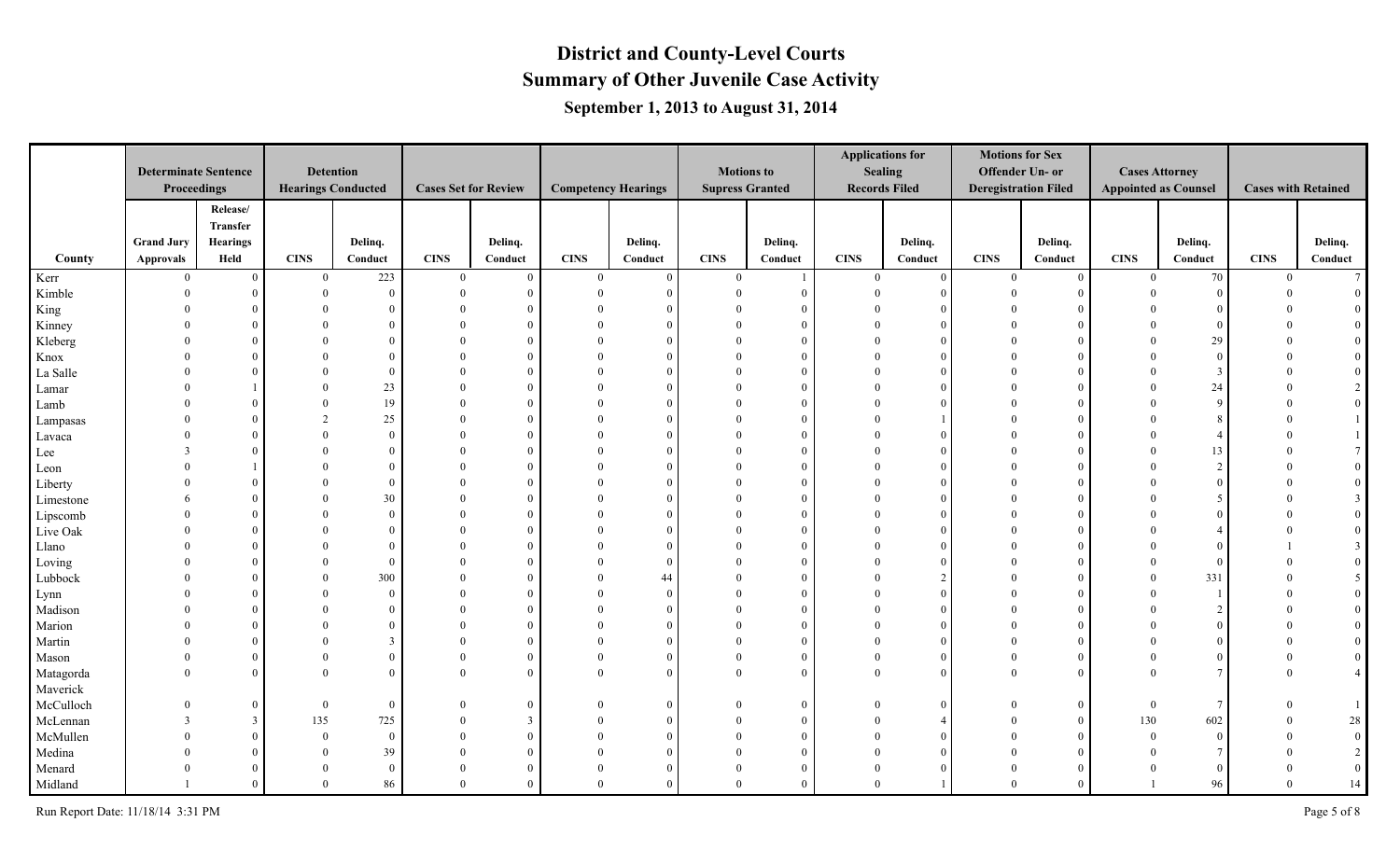|           |                             |                 |              |                           |                             |                |                            |            |                        |          |             | <b>Applications for</b> | <b>Motions for Sex</b>      |          |                             |                       |                            |                  |
|-----------|-----------------------------|-----------------|--------------|---------------------------|-----------------------------|----------------|----------------------------|------------|------------------------|----------|-------------|-------------------------|-----------------------------|----------|-----------------------------|-----------------------|----------------------------|------------------|
|           | <b>Determinate Sentence</b> |                 |              | <b>Detention</b>          |                             |                |                            |            | <b>Motions to</b>      |          |             | <b>Sealing</b>          | Offender Un- or             |          |                             | <b>Cases Attorney</b> |                            |                  |
|           | Proceedings                 |                 |              | <b>Hearings Conducted</b> | <b>Cases Set for Review</b> |                | <b>Competency Hearings</b> |            | <b>Supress Granted</b> |          |             | <b>Records Filed</b>    | <b>Deregistration Filed</b> |          | <b>Appointed as Counsel</b> |                       | <b>Cases with Retained</b> |                  |
|           |                             | Release/        |              |                           |                             |                |                            |            |                        |          |             |                         |                             |          |                             |                       |                            |                  |
|           |                             | Transfer        |              |                           |                             |                |                            |            |                        |          |             |                         |                             |          |                             |                       |                            |                  |
|           | <b>Grand Jury</b>           | <b>Hearings</b> |              | Delinq.                   |                             | Delinq.        |                            | Delinq.    |                        | Delinq.  |             | Delinq.                 |                             | Delinq.  |                             | Delinq.               |                            | Delinq.          |
| County    | Approvals                   | Held            | CINS         | Conduct                   | <b>CINS</b>                 | Conduct        | <b>CINS</b>                | Conduct    | <b>CINS</b>            | Conduct  | <b>CINS</b> | Conduct                 | <b>CINS</b>                 | Conduct  | <b>CINS</b>                 | Conduct               | <b>CINS</b>                | Conduct          |
| Kerr      | $\overline{0}$              | $\overline{0}$  | $\mathbf{0}$ | 223                       | $\overline{0}$              | $\overline{0}$ | $\theta$                   | $\Omega$   | $\overline{0}$         |          | $\theta$    | $\theta$                | $\theta$                    | $\Omega$ | $\Omega$                    | 70                    | $\mathbf{0}$               | $7\overline{ }$  |
| Kimble    | $\Omega$                    | $\overline{0}$  | $\theta$     | $\overline{0}$            | $\Omega$                    | $\overline{0}$ | $\Omega$                   | $\sqrt{ }$ | $\Omega$               | $\Omega$ |             | $\Omega$                |                             |          |                             | $\overline{0}$        |                            |                  |
| King      | $\Omega$                    | $\theta$        |              | $\overline{0}$            |                             | $\overline{0}$ |                            |            |                        |          |             |                         |                             |          |                             | - 0                   |                            |                  |
| Kinney    |                             | $\Omega$        |              | $\Omega$                  |                             | $\overline{0}$ |                            | $\Omega$   |                        | $\Omega$ |             |                         |                             |          |                             | $\Omega$              |                            |                  |
| Kleberg   | $\Omega$                    | $\Omega$        |              | $\Omega$                  |                             | $\overline{0}$ |                            |            |                        | $\Omega$ |             |                         |                             |          |                             | 29                    |                            |                  |
| Knox      | $\Omega$                    | $\overline{0}$  |              | $\Omega$                  |                             | $\overline{0}$ |                            | $\Omega$   |                        | $\Omega$ |             |                         |                             |          |                             | $\overline{0}$        |                            |                  |
| La Salle  | $\Omega$                    | $\overline{0}$  | $\Omega$     | $\Omega$                  |                             | $\overline{0}$ | $\Omega$                   | $\Omega$   | $\Omega$               | $\Omega$ |             | $\Omega$                | $\Omega$                    |          |                             | $\mathcal{R}$         |                            |                  |
| Lamar     |                             |                 | $\Omega$     | 23                        |                             | $\overline{0}$ |                            | $\Omega$   |                        | $\Omega$ |             |                         |                             |          |                             | 24                    |                            |                  |
| Lamb      |                             | $\overline{0}$  |              | 19                        |                             | $\overline{0}$ |                            | $\Omega$   |                        | $\Omega$ |             |                         |                             |          |                             | $\overline{9}$        |                            |                  |
| Lampasas  | $\Omega$                    | $\overline{0}$  |              | $25\,$                    |                             | $\overline{0}$ | $\Omega$                   | $\Omega$   |                        | $\Omega$ |             |                         |                             |          |                             |                       |                            |                  |
| Lavaca    | $\Omega$                    | $\overline{0}$  | $\Omega$     | $\Omega$                  |                             | $\overline{0}$ |                            | $\Omega$   |                        | $\Omega$ |             |                         |                             |          |                             |                       |                            |                  |
| Lee       | $\mathbf{3}$                | $\theta$        |              | $\Omega$                  |                             | $\overline{0}$ |                            | $\Omega$   | $\Omega$               | $\Omega$ |             |                         |                             |          |                             | 13                    |                            |                  |
| Leon      | $\Omega$                    |                 |              | $\Omega$                  |                             | $\overline{0}$ | $\Omega$                   |            |                        |          |             |                         |                             |          |                             | $\gamma$              |                            |                  |
| Liberty   | $\Omega$                    | $\overline{0}$  |              | $\mathbf{0}$              |                             | $\overline{0}$ |                            | $\Omega$   |                        | $\Omega$ |             |                         |                             |          |                             | $\Omega$              |                            |                  |
| Limestone | 6                           | $\overline{0}$  |              | 30                        |                             | $\overline{0}$ | $\Omega$                   | $\Omega$   |                        | $\Omega$ |             |                         |                             |          |                             | -5                    |                            |                  |
| Lipscomb  | $\Omega$                    | $\Omega$        |              | $\overline{0}$            |                             | $\overline{0}$ |                            | $\Omega$   |                        | $\Omega$ |             |                         |                             |          |                             | $\Omega$              |                            |                  |
| Live Oak  | $\Omega$                    | $\overline{0}$  |              | $\Omega$                  |                             | $\overline{0}$ | $\Omega$                   | $\Omega$   |                        |          |             |                         |                             |          |                             |                       |                            |                  |
| Llano     | $\Omega$                    | $\overline{0}$  | $\Omega$     | $\Omega$                  |                             | $\overline{0}$ | $\Omega$                   | $\Omega$   | $\Omega$               | $\Omega$ |             | $\Omega$                |                             |          |                             | $\Omega$              |                            |                  |
| Loving    | $\Omega$                    | $\overline{0}$  | $\Omega$     | $\theta$                  |                             | $\overline{0}$ |                            | $\Omega$   | $\Omega$               | $\Omega$ |             | $\Omega$                |                             |          |                             | $\Omega$              |                            |                  |
| Lubbock   | $\Omega$                    | $\overline{0}$  | $\Omega$     | 300                       |                             | $\overline{0}$ |                            | 44         |                        | $\Omega$ |             |                         |                             |          |                             | 331                   |                            |                  |
| Lynn      | $\theta$                    | $\overline{0}$  |              | $\theta$                  |                             | $\overline{0}$ | $\Omega$                   | $\Omega$   |                        | $\Omega$ |             | $\Omega$                |                             |          |                             |                       |                            |                  |
| Madison   | $\Omega$                    | $\overline{0}$  | $\Omega$     | $\Omega$                  |                             | $\overline{0}$ |                            | $\Omega$   |                        | $\Omega$ |             |                         |                             |          |                             |                       |                            |                  |
| Marion    | $\Omega$                    | $\overline{0}$  | $\Omega$     | $\Omega$                  |                             | $\overline{0}$ |                            | $\Omega$   | $\Omega$               | $\Omega$ |             |                         |                             |          |                             | $\Omega$              |                            |                  |
| Martin    | $\Omega$                    | $\overline{0}$  | $\Omega$     | $\overline{3}$            |                             | $\overline{0}$ | $\Omega$                   | $\Omega$   | $\Omega$               | $\Omega$ |             |                         |                             |          |                             | $\Omega$              |                            |                  |
| Mason     | $\Omega$                    | $\overline{0}$  | $\Omega$     | $\theta$                  |                             | $\overline{0}$ | $\Omega$                   | $\theta$   | $\theta$               | $\Omega$ |             | $\Omega$                |                             |          |                             | $\theta$              |                            |                  |
| Matagorda | $\Omega$                    | $\overline{0}$  | $\Omega$     | $\Omega$                  | $\Omega$                    | $\overline{0}$ | $\Omega$                   | $\Omega$   | $\Omega$               | $\Omega$ |             | $\Omega$                | $\Omega$                    |          |                             | $\overline{7}$        |                            |                  |
| Maverick  |                             |                 |              |                           |                             |                |                            |            |                        |          |             |                         |                             |          |                             |                       |                            |                  |
| McCulloch | $\Omega$                    | $\overline{0}$  | $\theta$     | $\theta$                  |                             | $\overline{0}$ | $\Omega$                   | $\theta$   | $\Omega$               | $\theta$ |             | $\Omega$                | $\Omega$                    | $\Omega$ | $\Omega$                    | -7                    |                            |                  |
| McLennan  |                             | $\mathbf{3}$    | 135          | 725                       | $\Omega$                    | $\mathbf{3}$   | $\Omega$                   | $\Omega$   | $\Omega$               | $\Omega$ |             |                         | $\Omega$                    | $\Omega$ | 130                         | 602                   |                            | $28\,$           |
| McMullen  | $\Omega$                    | $\overline{0}$  | $\mathbf{0}$ | $\overline{0}$            | $\Omega$                    | $\overline{0}$ | $\theta$                   | $\Omega$   |                        | $\theta$ |             | $\Omega$                |                             |          |                             | $\overline{0}$        |                            | $\overline{0}$   |
| Medina    | $\Omega$                    | $\overline{0}$  | $\theta$     | 39                        |                             | $\overline{0}$ | $\Omega$                   | $\Omega$   |                        |          |             |                         |                             |          |                             |                       |                            |                  |
| Menard    | $\Omega$                    | $\overline{0}$  | $\theta$     | $\overline{0}$            | $\Omega$                    | $\overline{0}$ | $\Omega$                   | $\Omega$   | $\theta$               | $\Omega$ |             | $\Omega$                |                             |          |                             | $\Omega$              |                            | $\boldsymbol{0}$ |
| Midland   |                             | $\overline{0}$  | $\Omega$     | 86                        | $\Omega$                    | $\overline{0}$ | $\Omega$                   |            | $\Omega$               | $\Omega$ | $\Omega$    |                         | $\theta$                    |          |                             | 96                    |                            | 14               |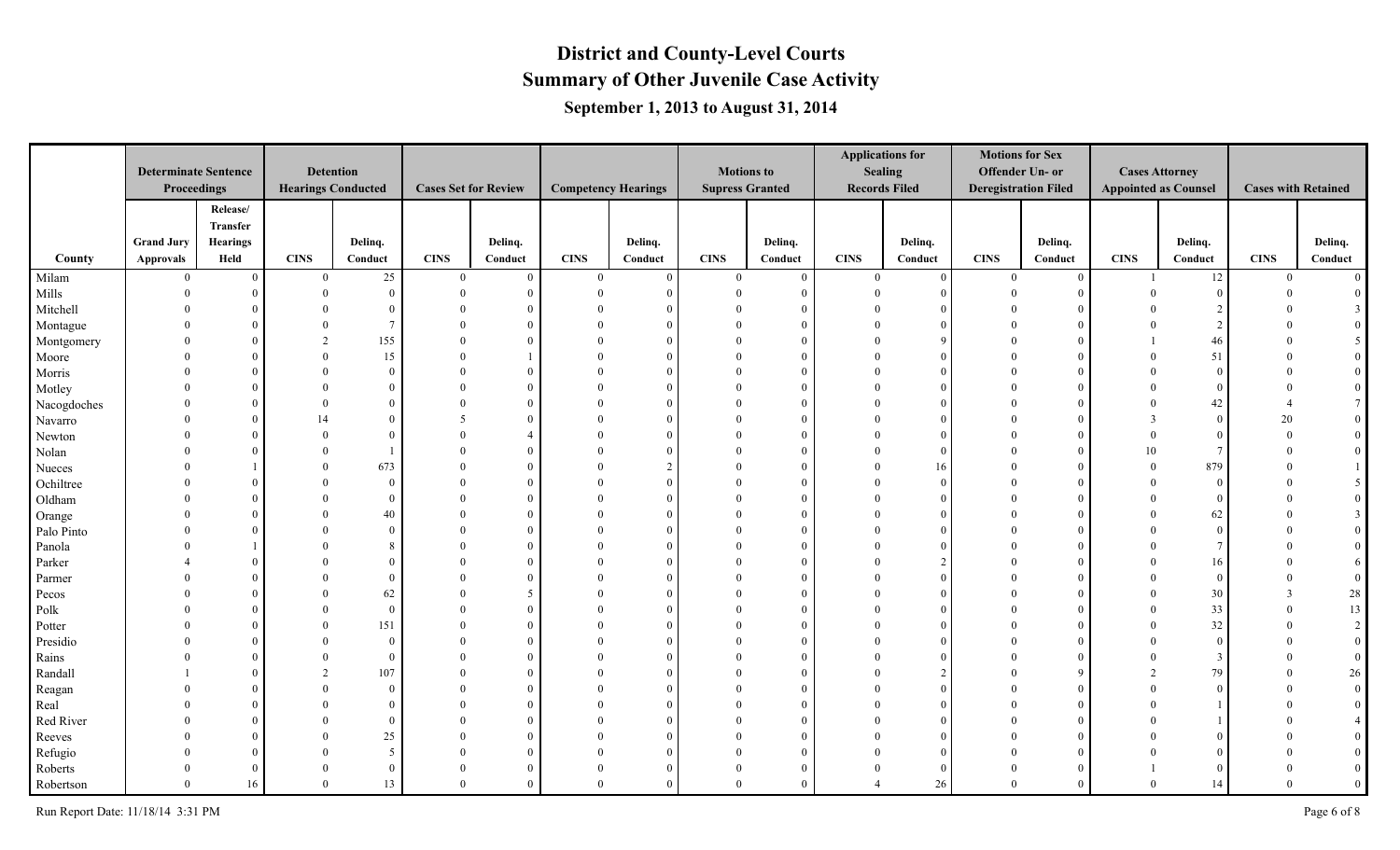|             |                             |                 |              |                           |                             |          |                            |          |                        |              |             | <b>Applications for</b> | <b>Motions for Sex</b>      |          |                             |                |                            |                |
|-------------|-----------------------------|-----------------|--------------|---------------------------|-----------------------------|----------|----------------------------|----------|------------------------|--------------|-------------|-------------------------|-----------------------------|----------|-----------------------------|----------------|----------------------------|----------------|
|             | <b>Determinate Sentence</b> |                 |              | <b>Detention</b>          |                             |          |                            |          | <b>Motions to</b>      |              |             | <b>Sealing</b>          | Offender Un- or             |          | <b>Cases Attorney</b>       |                |                            |                |
|             | Proceedings                 |                 |              | <b>Hearings Conducted</b> | <b>Cases Set for Review</b> |          | <b>Competency Hearings</b> |          | <b>Supress Granted</b> |              |             | <b>Records Filed</b>    | <b>Deregistration Filed</b> |          | <b>Appointed as Counsel</b> |                | <b>Cases with Retained</b> |                |
|             |                             | Release/        |              |                           |                             |          |                            |          |                        |              |             |                         |                             |          |                             |                |                            |                |
|             |                             | Transfer        |              |                           |                             |          |                            |          |                        |              |             |                         |                             |          |                             |                |                            |                |
|             | <b>Grand Jury</b>           | <b>Hearings</b> |              | Delinq.                   |                             | Delinq.  |                            | Delinq.  |                        | Delinq.      |             | Delinq.                 |                             | Delinq.  |                             | Delinq.        |                            | Delinq.        |
| County      | Approvals                   | Held            | <b>CINS</b>  | Conduct                   | <b>CINS</b>                 | Conduct  | <b>CINS</b>                | Conduct  | <b>CINS</b>            | Conduct      | <b>CINS</b> | Conduct                 | <b>CINS</b>                 | Conduct  | <b>CINS</b>                 | Conduct        | <b>CINS</b>                | Conduct        |
| Milam       | $\bf{0}$                    | $\overline{0}$  | $\mathbf{0}$ | $25\,$                    | $\bf{0}$                    | $\Omega$ | $\theta$                   | $\Omega$ | $\overline{0}$         | $\mathbf{0}$ | $\bf{0}$    | $\overline{0}$          | $\theta$                    | $\Omega$ |                             | $12\,$         | $\mathbf{0}$               | $\overline{0}$ |
| Mills       | $\Omega$                    | $\overline{0}$  |              | $\overline{0}$            | $\theta$                    | $\Omega$ | $\Omega$                   | -6       | $\Omega$               | $\Omega$     |             | $\Omega$                |                             |          | $\Omega$                    | $\theta$       | $\Omega$                   |                |
| Mitchell    |                             | $\Omega$        |              | $\overline{0}$            |                             |          |                            | $\Omega$ |                        |              |             |                         |                             |          |                             |                |                            |                |
| Montague    |                             | $\Omega$        |              | $\overline{7}$            |                             |          |                            | $\Omega$ |                        |              |             |                         |                             |          |                             | $\overline{2}$ |                            |                |
| Montgomery  |                             | $\Omega$        |              | 155                       |                             |          |                            | $\Omega$ |                        |              |             | $\Omega$                |                             |          |                             | 46             |                            |                |
| Moore       |                             | $\Omega$        |              | 15                        | $\Omega$                    |          | $\Omega$                   | $\theta$ | $\Omega$               |              |             | $\Omega$                |                             |          | $\Omega$                    | 51             |                            | $\overline{0}$ |
| Morris      |                             | $\Omega$        |              | $\theta$                  | $\Omega$                    |          | $\theta$                   | $\Omega$ | $\Omega$               |              |             | $\Omega$                |                             |          | $\Omega$                    | $\theta$       |                            |                |
| Motley      |                             | $\Omega$        |              | $\Omega$                  |                             |          | $\theta$                   | $\Omega$ | $\Omega$               |              |             |                         |                             |          | $\Omega$                    | $\theta$       |                            |                |
| Nacogdoches |                             | $\Omega$        |              | $\Omega$                  |                             |          |                            | $\Omega$ | $\Omega$               |              |             |                         |                             |          | $\Omega$                    | 42             |                            |                |
| Navarro     |                             | $\Omega$        |              | $\Omega$                  |                             |          |                            | $\Omega$ | $\Omega$               |              |             |                         |                             |          | $\mathcal{R}$               | $\theta$       | 20                         |                |
| Newton      |                             | $\Omega$        |              | $\Omega$                  |                             |          |                            | $\Omega$ |                        |              |             | $\Omega$                |                             |          | $\Omega$                    | $\theta$       | $\Omega$                   |                |
| Nolan       |                             | $\Omega$        |              |                           |                             |          | $\Omega$                   | ſ        | $\Omega$               |              |             | $\Omega$                |                             |          | 10                          | $\overline{7}$ |                            |                |
| Nueces      |                             |                 |              | 673                       | $\Omega$                    |          |                            | C.       | $\Omega$               |              |             | 16                      |                             |          | $\theta$                    | 879            |                            |                |
| Ochiltree   |                             | $\Omega$        |              | $\overline{0}$            |                             |          |                            | $\Omega$ |                        |              |             | $\Omega$                |                             |          | $\Omega$                    | $\overline{0}$ |                            |                |
| Oldham      |                             | $\theta$        |              | $\overline{0}$            |                             |          |                            | $\Omega$ |                        |              |             |                         |                             |          |                             | $\Omega$       |                            |                |
| Orange      |                             | $\Omega$        |              | 40                        | $\Omega$                    | $\Omega$ |                            | $\Omega$ |                        |              |             |                         |                             |          | $\Omega$                    | 62             |                            | $\overline{3}$ |
| Palo Pinto  |                             | $\Omega$        |              | $\theta$                  | $\Omega$                    | $\theta$ | $\Omega$                   | $\Omega$ | $\Omega$               |              |             |                         |                             |          |                             | $\theta$       |                            |                |
| Panola      |                             |                 |              |                           | $\Omega$                    |          | $\Omega$                   | $\Omega$ | $\Omega$               |              |             |                         |                             |          |                             |                |                            |                |
| Parker      |                             | $\Omega$        |              | $\Omega$                  |                             |          |                            | $\Omega$ | $\Omega$               |              |             |                         |                             |          | $\theta$                    | 16             |                            | 6              |
| Parmer      |                             | $\Omega$        |              | $\Omega$                  |                             |          |                            | $\Omega$ | $\theta$               |              |             |                         |                             |          | $\Omega$                    | $\theta$       |                            |                |
| Pecos       |                             | $\Omega$        |              | 62                        | $\Omega$                    | 5        | $\Omega$                   | $\Omega$ | $\theta$               |              |             | $\Omega$                |                             |          | $\Omega$                    | 30             | $\mathcal{R}$              | 28             |
| Polk        |                             | $\Omega$        |              | $\theta$                  | $\Omega$                    | $\Omega$ | $\Omega$                   | $\Omega$ | $\Omega$               |              |             | $\Omega$                |                             |          | $\Omega$                    | 33             |                            | 13             |
| Potter      |                             | $\theta$        |              | 151                       | $\Omega$                    |          |                            | ſ        | $\Omega$               |              |             |                         |                             |          | $\Omega$                    | 32             |                            |                |
| Presidio    |                             | $\theta$        |              | $\overline{0}$            | $\Omega$                    |          |                            | -6       | $\Omega$               |              |             |                         |                             |          | $\Omega$                    | $\theta$       |                            |                |
| Rains       |                             | $\Omega$        |              | $\overline{0}$            |                             | $\Omega$ |                            | $\Omega$ | $\Omega$               |              |             |                         |                             |          | $\Omega$                    | 3              |                            |                |
| Randall     |                             | $\Omega$        |              | 107                       |                             | $\theta$ |                            | $\Omega$ |                        |              |             | $\mathcal{L}$           |                             |          | $\overline{2}$              | 79             |                            | 26             |
| Reagan      |                             | $\Omega$        |              | $\overline{0}$            | $\Omega$                    | $\Omega$ | $\Omega$                   | $\Omega$ |                        |              |             |                         |                             |          | $\Omega$                    | $\Omega$       |                            |                |
| Real        |                             | $\Omega$        |              | $\overline{0}$            | $\Omega$                    |          |                            | $\Omega$ | $\Omega$               |              |             |                         |                             |          |                             |                |                            |                |
| Red River   |                             | $\theta$        |              | $\overline{0}$            | $\Omega$                    |          | $\theta$                   | $\Omega$ |                        |              |             |                         |                             |          |                             |                |                            |                |
| Reeves      |                             | $\Omega$        |              | $25\,$                    |                             |          |                            | $\Omega$ | $\Omega$               |              |             | $\Omega$                |                             |          |                             |                |                            |                |
| Refugio     |                             | $\Omega$        |              | 5                         | $\Omega$                    | $\Omega$ | $\Omega$                   | $\Omega$ | $\theta$               |              |             | $\Omega$                |                             |          |                             |                |                            |                |
| Roberts     |                             | $\theta$        |              | $\overline{0}$            | $\theta$                    | $\Omega$ | $\theta$                   | $\Omega$ | $\mathbf{0}$           | $\Omega$     |             | $\Omega$                |                             |          |                             | $\Omega$       |                            | $\overline{0}$ |
| Robertson   | $\theta$                    | 16              |              | 13                        | $\theta$                    |          | $\Omega$                   | $\Omega$ | $\theta$               |              |             | 26                      | $\Omega$                    |          | $\theta$                    | 14             | $\Omega$                   | $\mathbf{0}$   |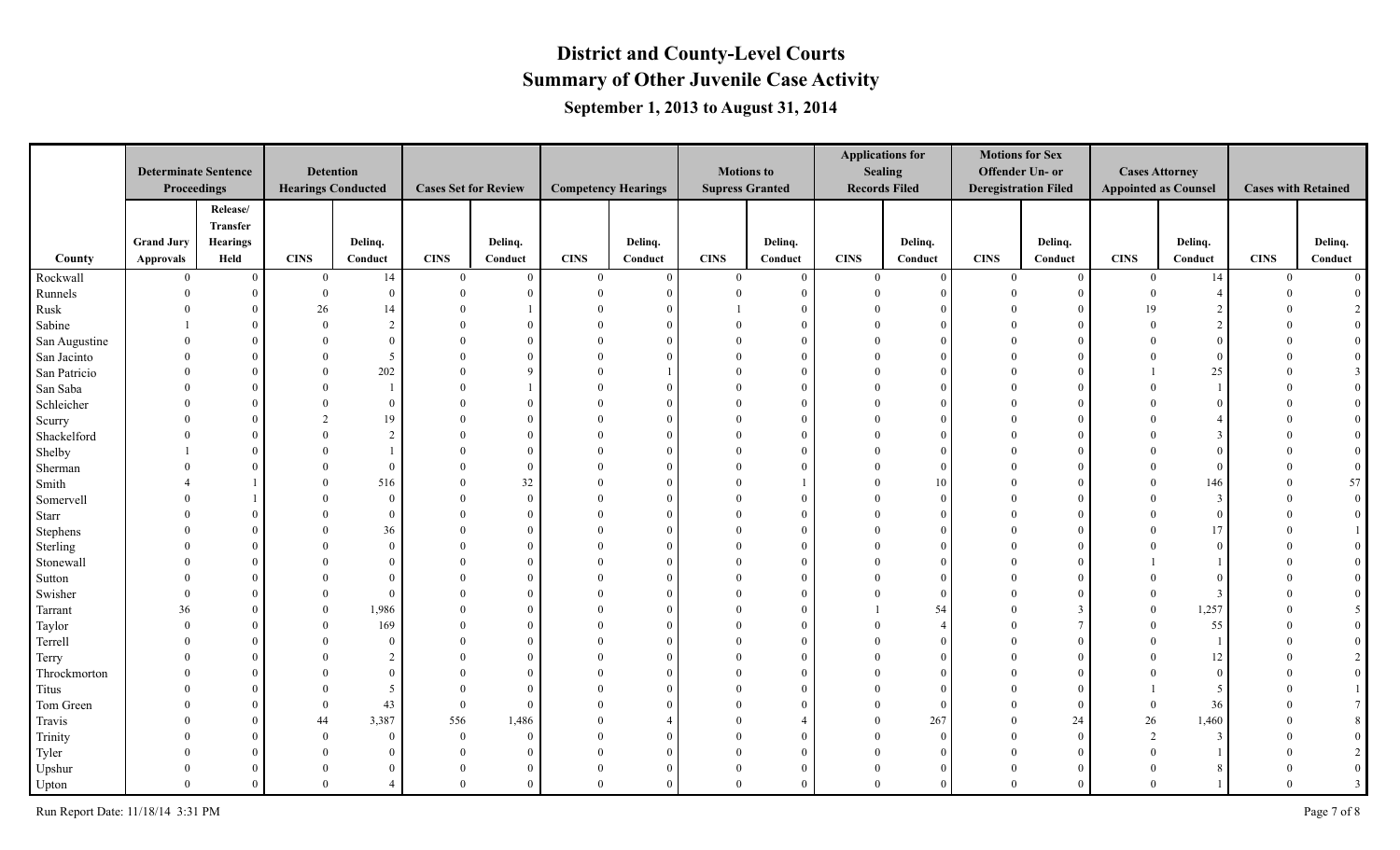|               |                             |                 |                           |                  |                             |             |                            |            |                        |                |                | <b>Applications for</b> | <b>Motions for Sex</b>      |          |                             |                |                            |                |
|---------------|-----------------------------|-----------------|---------------------------|------------------|-----------------------------|-------------|----------------------------|------------|------------------------|----------------|----------------|-------------------------|-----------------------------|----------|-----------------------------|----------------|----------------------------|----------------|
|               | <b>Determinate Sentence</b> |                 |                           | <b>Detention</b> |                             |             |                            |            | <b>Motions to</b>      |                |                | <b>Sealing</b>          | Offender Un- or             |          | <b>Cases Attorney</b>       |                |                            |                |
|               | Proceedings                 |                 | <b>Hearings Conducted</b> |                  | <b>Cases Set for Review</b> |             | <b>Competency Hearings</b> |            | <b>Supress Granted</b> |                |                | <b>Records Filed</b>    | <b>Deregistration Filed</b> |          | <b>Appointed as Counsel</b> |                | <b>Cases with Retained</b> |                |
|               |                             | Release/        |                           |                  |                             |             |                            |            |                        |                |                |                         |                             |          |                             |                |                            |                |
|               |                             | Transfer        |                           |                  |                             |             |                            |            |                        |                |                |                         |                             |          |                             |                |                            |                |
|               | <b>Grand Jury</b>           | <b>Hearings</b> |                           | Delinq.          |                             | Delinq.     |                            | Delinq.    |                        | Delinq.        |                | Delinq.                 |                             | Delinq.  |                             | Delinq.        |                            | Delinq.        |
| County        | Approvals                   | Held            | <b>CINS</b>               | Conduct          | <b>CINS</b>                 | Conduct     | <b>CINS</b>                | Conduct    | <b>CINS</b>            | Conduct        | <b>CINS</b>    | Conduct                 | <b>CINS</b>                 | Conduct  | <b>CINS</b>                 | Conduct        | <b>CINS</b>                | Conduct        |
| Rockwall      | $\overline{0}$              | $\overline{0}$  | $\overline{0}$            | 14               | $\overline{0}$              | $\Omega$    | $\theta$                   | $\Omega$   | $\overline{0}$         | $\overline{0}$ | $\overline{0}$ | $\overline{0}$          | $\theta$                    | $\Omega$ | $\mathbf{0}$                | 14             | $\mathbf{0}$               | $\overline{0}$ |
| Runnels       | $\Omega$                    | $\overline{0}$  | $\Omega$                  | $\overline{0}$   | $\theta$                    |             | $\Omega$                   | $\epsilon$ | $\Omega$               | $\Omega$       |                | $\Omega$                |                             |          | $\theta$                    | $\overline{4}$ | $\Omega$                   |                |
| Rusk          |                             | $\Omega$        | 26                        | 14               |                             |             |                            | $\Omega$   |                        |                |                |                         |                             |          | 19                          |                |                            |                |
| Sabine        |                             | $\theta$        |                           | 2                |                             |             |                            | $\Omega$   |                        |                |                |                         |                             |          |                             | $\mathcal{D}$  |                            |                |
| San Augustine |                             | $\Omega$        |                           | $\Omega$         |                             |             |                            | $\Omega$   |                        |                |                |                         |                             |          |                             | $\Omega$       |                            |                |
| San Jacinto   |                             | $\Omega$        |                           | -5               |                             | $\Omega$    |                            | $\Omega$   | $\Omega$               |                |                |                         |                             |          |                             | $\Omega$       |                            | $\bf{0}$       |
| San Patricio  |                             | $\Omega$        |                           | 202              | $\Omega$                    | $\mathbf Q$ | $\Omega$                   |            | $\Omega$               |                |                | $\Omega$                |                             |          |                             | 25             |                            | $\overline{3}$ |
| San Saba      |                             | $\Omega$        |                           |                  |                             |             |                            | $\Omega$   | $\Omega$               |                |                |                         |                             |          |                             |                |                            |                |
| Schleicher    |                             | $\Omega$        |                           | $\theta$         |                             |             |                            | $\Omega$   | $\Omega$               |                |                |                         |                             |          |                             | $\Omega$       |                            |                |
| Scurry        |                             | $\Omega$        |                           | 19               |                             |             |                            | $\Omega$   | $\Omega$               |                |                |                         |                             |          |                             |                |                            |                |
| Shackelford   |                             | $\Omega$        |                           | 2                |                             | $\Omega$    |                            | $\Omega$   |                        |                |                |                         |                             |          |                             | 3              |                            | $\overline{0}$ |
| Shelby        |                             | $\Omega$        |                           |                  |                             |             | $\Omega$                   | $\Omega$   | $\Omega$               |                |                |                         |                             |          |                             | $\Omega$       |                            |                |
| Sherman       |                             | $\Omega$        |                           | $\overline{0}$   | $\Omega$                    |             |                            |            | $\Omega$               |                |                | $\Omega$                |                             |          | $\Omega$                    | $\theta$       |                            |                |
| Smith         |                             |                 |                           | 516              |                             | 32          |                            | $\Omega$   |                        |                |                | 10                      |                             |          | $\Omega$                    | 146            |                            | 57             |
| Somervell     |                             |                 |                           | $\overline{0}$   | $\Omega$                    | $\Omega$    |                            | $\Omega$   |                        |                |                | $\Omega$                |                             |          |                             | $\overline{3}$ |                            |                |
| <b>Starr</b>  |                             | $\Omega$        |                           | $\overline{0}$   |                             | $\theta$    |                            | $\Omega$   |                        |                |                |                         |                             |          | $\Omega$                    | $\theta$       |                            |                |
| Stephens      |                             | $\Omega$        |                           | 36               | $\Omega$                    | $\theta$    | $\Omega$                   | $\Omega$   | $\Omega$               |                |                |                         |                             |          |                             | 17             |                            |                |
| Sterling      |                             | $\Omega$        |                           | $\theta$         | $\Omega$                    |             | $\Omega$                   | $\Omega$   | $\Omega$               |                |                |                         |                             |          |                             | $\Omega$       |                            |                |
| Stonewall     |                             | $\Omega$        |                           | $\theta$         |                             |             |                            | $\Omega$   | $\Omega$               |                |                | $\Omega$                |                             |          |                             |                |                            |                |
| Sutton        |                             | $\Omega$        |                           | $\Omega$         |                             |             |                            | $\Omega$   | $\Omega$               |                |                |                         |                             |          |                             |                |                            |                |
| Swisher       |                             | $\Omega$        |                           | $\theta$         | $\Omega$                    |             |                            | $\Omega$   | $\Omega$               |                |                | $\Omega$                |                             |          | $\theta$                    | 3              |                            |                |
| Tarrant       | 36                          | $\Omega$        |                           | 1,986            | $\Omega$                    | $\Omega$    |                            | $\Omega$   | $\Omega$               |                |                | 54                      |                             |          | $\Omega$                    | 1,257          |                            | -5             |
| Taylor        |                             | $\theta$        |                           | 169              | $\Omega$                    |             |                            | ſ          |                        |                |                |                         |                             |          | $\Omega$                    | 55             |                            |                |
| Terrell       |                             | $\Omega$        |                           | $\theta$         | $\Omega$                    |             |                            |            | $\Omega$               |                |                |                         |                             |          | $\theta$                    |                |                            |                |
| Terry         |                             | $\Omega$        |                           | $\mathfrak{D}$   |                             | $\Omega$    |                            | $\Omega$   | $\Omega$               |                |                |                         |                             |          |                             | 12             |                            |                |
| Throckmorton  |                             | $\Omega$        |                           | $\theta$         |                             | $\theta$    |                            | $\Omega$   |                        |                |                |                         |                             |          |                             | $\theta$       |                            |                |
| Titus         |                             | $\Omega$        |                           | -5               | $\Omega$                    | $\Omega$    |                            | $\Omega$   |                        |                |                |                         |                             |          |                             | 5              |                            |                |
| Tom Green     |                             | $\Omega$        |                           | 43               | $\overline{0}$              | $\Omega$    |                            | $\Omega$   |                        |                |                | $\Omega$                |                             |          | $\theta$                    | 36             |                            |                |
| Travis        |                             | $\theta$        | 44                        | 3,387            | 556                         | 1,486       | $\theta$                   |            | $\Omega$               |                |                | 267                     | $\Omega$                    | 24       | $26\,$                      | 1,460          |                            |                |
| Trinity       |                             | $\Omega$        |                           | $\overline{0}$   | $\bf{0}$                    | $\Omega$    | $\theta$                   | $\Omega$   | $\Omega$               |                |                | $\Omega$                |                             | $\Omega$ | 2                           | $\overline{3}$ |                            |                |
| Tyler         |                             | $\Omega$        |                           | $\overline{0}$   | $\Omega$                    | $\theta$    | $\Omega$                   | $\Omega$   | $\Omega$               |                |                | $\Omega$                |                             |          | $\Omega$                    |                |                            |                |
| Upshur        |                             | $\overline{0}$  |                           | $\Omega$         | $\theta$                    | $\Omega$    | $\theta$                   | $\Omega$   | $\mathbf{0}$           |                |                | $\Omega$                |                             |          | $\theta$                    | -8             |                            | $\overline{0}$ |
| Upton         |                             | $\theta$        |                           |                  | $\theta$                    |             | $\Omega$                   | $\Omega$   | $\theta$               |                |                | $\Omega$                | $\Omega$                    |          | $\Omega$                    |                | $\Omega$                   | $\overline{3}$ |